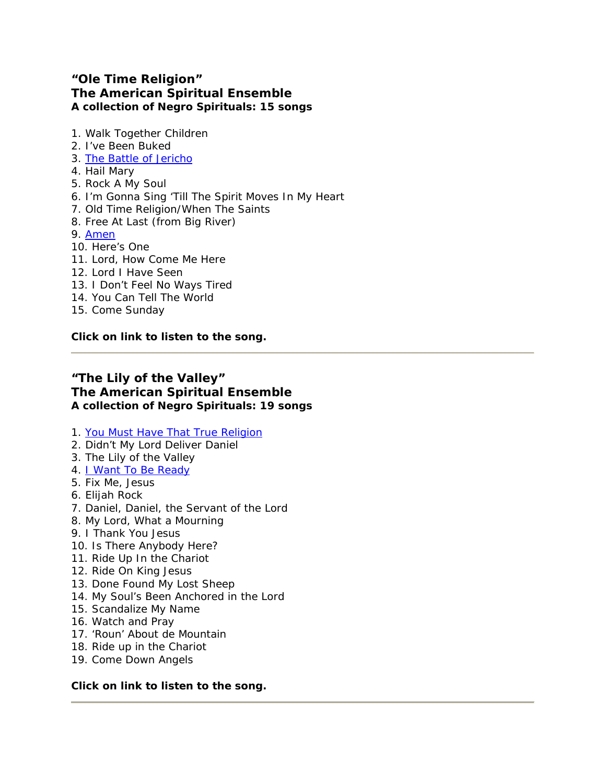## **"Ole Time Religion" The American Spiritual Ensemble A collection of Negro Spirituals: 15 songs**

- 1. Walk Together Children
- 2. I've Been Buked
- 3. [The Battle of Jericho](http://www.americanspiritualensemble.com/jerichosong.html)
- 4. Hail Mary
- 5. Rock A My Soul
- 6. I'm Gonna Sing 'Till The Spirit Moves In My Heart
- 7. Old Time Religion/When The Saints
- 8. Free At Last (from Big River)
- 9. [Amen](http://www.americanspiritualensemble.com/amensong.html)
- 10. Here's One
- 11. Lord, How Come Me Here
- 12. Lord I Have Seen
- 13. I Don't Feel No Ways Tired
- 14. You Can Tell The World
- 15. Come Sunday

**Click on link to listen to the song.**

## **"The Lily of the Valley" The American Spiritual Ensemble A collection of Negro Spirituals: 19 songs**

- 1. [You Must Have That True Religion](http://www.americanspiritualensemble.com/religionsong.html)
- 2. Didn't My Lord Deliver Daniel
- 3. The Lily of the Valley
- 4. *I Want To Be Ready*
- 5. Fix Me, Jesus
- 6. Elijah Rock
- 7. Daniel, Daniel, the Servant of the Lord
- 8. My Lord, What a Mourning
- 9. I Thank You Jesus
- 10. Is There Anybody Here?
- 11. Ride Up In the Chariot
- 12. Ride On King Jesus
- 13. Done Found My Lost Sheep
- 14. My Soul's Been Anchored in the Lord
- 15. Scandalize My Name
- 16. Watch and Pray
- 17. 'Roun' About de Mountain
- 18. Ride up in the Chariot
- 19. Come Down Angels

### **Click on link to listen to the song.**